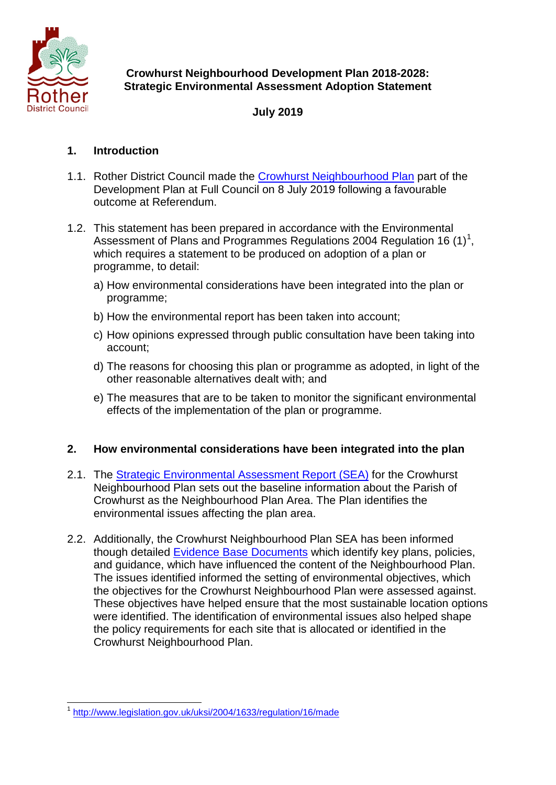

## **Crowhurst Neighbourhood Development Plan 2018-2028: Strategic Environmental Assessment Adoption Statement**

# **July 2019**

# **1. Introduction**

- 1.1. Rother District Council made the Crowhurst [Neighbourhood](http://www.rother.gov.uk/CHttpHandler.ashx?id=31999&p=0) Plan part of the Development Plan at Full Council on 8 July 2019 following a favourable outcome at Referendum.
- 1.2. This statement has been prepared in accordance with the Environmental Assessment of Plans and Programmes Regulations 2004 Regulation [1](#page-0-0)6 (1)<sup>1</sup>, which requires a statement to be produced on adoption of a plan or programme, to detail:
	- a) How environmental considerations have been integrated into the plan or programme;
	- b) How the environmental report has been taken into account;
	- c) How opinions expressed through public consultation have been taking into account;
	- d) The reasons for choosing this plan or programme as adopted, in light of the other reasonable alternatives dealt with; and
	- e) The measures that are to be taken to monitor the significant environmental effects of the implementation of the plan or programme.

## **2. How environmental considerations have been integrated into the plan**

- 2.1. The [Strategic Environmental Assessment Report](http://www.rother.gov.uk/CHttpHandler.ashx?id=30956&p=0) (SEA) for the Crowhurst Neighbourhood Plan sets out the baseline information about the Parish of Crowhurst as the Neighbourhood Plan Area. The Plan identifies the environmental issues affecting the plan area.
- 2.2. Additionally, the Crowhurst Neighbourhood Plan SEA has been informed though detailed [Evidence Base Documents](https://www.crowhurstneighbourhoodplan.org/regulation-16-submission-cndp) which identify key plans, policies, and guidance, which have influenced the content of the Neighbourhood Plan. The issues identified informed the setting of environmental objectives, which the objectives for the Crowhurst Neighbourhood Plan were assessed against. These objectives have helped ensure that the most sustainable location options were identified. The identification of environmental issues also helped shape the policy requirements for each site that is allocated or identified in the Crowhurst Neighbourhood Plan.

<span id="page-0-0"></span> <sup>1</sup> <http://www.legislation.gov.uk/uksi/2004/1633/regulation/16/made>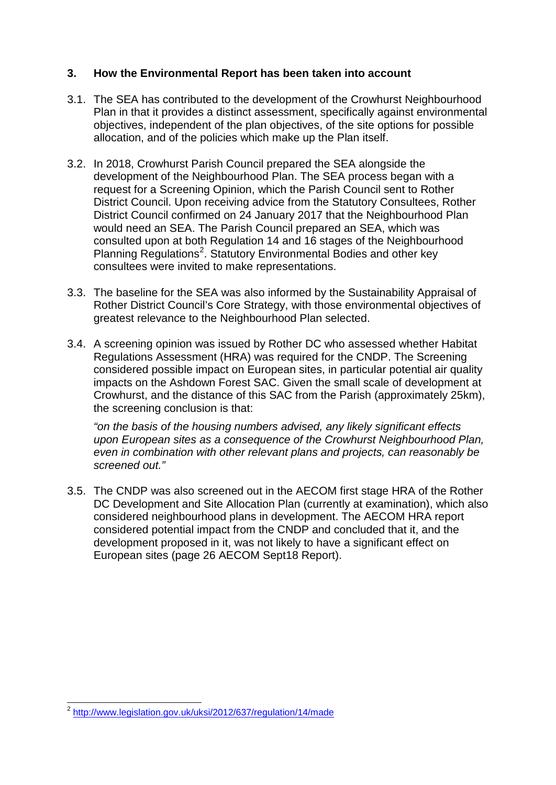## **3. How the Environmental Report has been taken into account**

- 3.1. The SEA has contributed to the development of the Crowhurst Neighbourhood Plan in that it provides a distinct assessment, specifically against environmental objectives, independent of the plan objectives, of the site options for possible allocation, and of the policies which make up the Plan itself.
- 3.2. In 2018, Crowhurst Parish Council prepared the SEA alongside the development of the Neighbourhood Plan. The SEA process began with a request for a Screening Opinion, which the Parish Council sent to Rother District Council. Upon receiving advice from the Statutory Consultees, Rother District Council confirmed on 24 January 2017 that the Neighbourhood Plan would need an SEA. The Parish Council prepared an SEA, which was consulted upon at both Regulation 14 and 16 stages of the Neighbourhood Planning Regulations<sup>[2](#page-1-0)</sup>. Statutory Environmental Bodies and other key consultees were invited to make representations.
- 3.3. The baseline for the SEA was also informed by the Sustainability Appraisal of Rother District Council's Core Strategy, with those environmental objectives of greatest relevance to the Neighbourhood Plan selected.
- 3.4. A screening opinion was issued by Rother DC who assessed whether Habitat Regulations Assessment (HRA) was required for the CNDP. The Screening considered possible impact on European sites, in particular potential air quality impacts on the Ashdown Forest SAC. Given the small scale of development at Crowhurst, and the distance of this SAC from the Parish (approximately 25km), the screening conclusion is that:

*"on the basis of the housing numbers advised, any likely significant effects upon European sites as a consequence of the Crowhurst Neighbourhood Plan, even in combination with other relevant plans and projects, can reasonably be screened out."*

3.5. The CNDP was also screened out in the AECOM first stage HRA of the Rother DC Development and Site Allocation Plan (currently at examination), which also considered neighbourhood plans in development. The AECOM HRA report considered potential impact from the CNDP and concluded that it, and the development proposed in it, was not likely to have a significant effect on European sites (page 26 AECOM Sept18 Report).

<span id="page-1-0"></span> <sup>2</sup> <http://www.legislation.gov.uk/uksi/2012/637/regulation/14/made>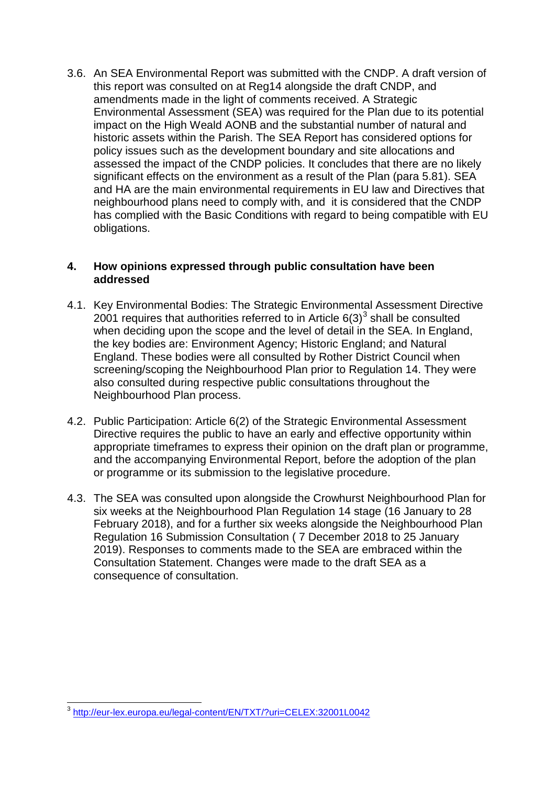3.6. An SEA Environmental Report was submitted with the CNDP. A draft version of this report was consulted on at Reg14 alongside the draft CNDP, and amendments made in the light of comments received. A Strategic Environmental Assessment (SEA) was required for the Plan due to its potential impact on the High Weald AONB and the substantial number of natural and historic assets within the Parish. The SEA Report has considered options for policy issues such as the development boundary and site allocations and assessed the impact of the CNDP policies. It concludes that there are no likely significant effects on the environment as a result of the Plan (para 5.81). SEA and HA are the main environmental requirements in EU law and Directives that neighbourhood plans need to comply with, and it is considered that the CNDP has complied with the Basic Conditions with regard to being compatible with EU obligations.

#### **4. How opinions expressed through public consultation have been addressed**

- 4.1. Key Environmental Bodies: The Strategic Environmental Assessment Directive 2001 requires that authorities referred to in Article  $6(3)^3$  $6(3)^3$  $6(3)^3$  shall be consulted when deciding upon the scope and the level of detail in the SEA. In England, the key bodies are: Environment Agency; Historic England; and Natural England. These bodies were all consulted by Rother District Council when screening/scoping the Neighbourhood Plan prior to Regulation 14. They were also consulted during respective public consultations throughout the Neighbourhood Plan process.
- 4.2. Public Participation: Article 6(2) of the Strategic Environmental Assessment Directive requires the public to have an early and effective opportunity within appropriate timeframes to express their opinion on the draft plan or programme, and the accompanying Environmental Report, before the adoption of the plan or programme or its submission to the legislative procedure.
- 4.3. The SEA was consulted upon alongside the Crowhurst Neighbourhood Plan for six weeks at the Neighbourhood Plan Regulation 14 stage (16 January to 28 February 2018), and for a further six weeks alongside the Neighbourhood Plan Regulation 16 Submission Consultation ( 7 December 2018 to 25 January 2019). Responses to comments made to the SEA are embraced within the Consultation Statement. Changes were made to the draft SEA as a consequence of consultation.

<span id="page-2-0"></span> <sup>3</sup> <http://eur-lex.europa.eu/legal-content/EN/TXT/?uri=CELEX:32001L0042>